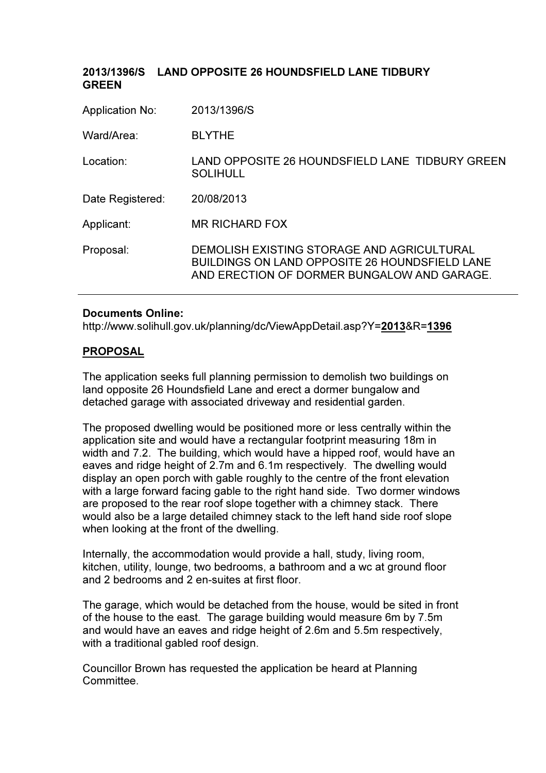| 2013/1396/S                                                                                                                                        |
|----------------------------------------------------------------------------------------------------------------------------------------------------|
| <b>BLYTHE</b>                                                                                                                                      |
| LAND OPPOSITE 26 HOUNDSFIELD LANE TIDBURY GREEN<br><b>SOLIHULL</b>                                                                                 |
| 20/08/2013                                                                                                                                         |
| <b>MR RICHARD FOX</b>                                                                                                                              |
| DEMOLISH EXISTING STORAGE AND AGRICULTURAL<br><b>BUILDINGS ON LAND OPPOSITE 26 HOUNDSFIELD LANE</b><br>AND ERECTION OF DORMER BUNGALOW AND GARAGE. |
|                                                                                                                                                    |

# 2013/1396/S LAND OPPOSITE 26 HOUNDSFIELD LANE TIDBURY

#### Documents Online:

http://www.solihull.gov.uk/planning/dc/ViewAppDetail.asp?Y=2013&R=1396

# PROPOSAL

The application seeks full planning permission to demolish two buildings on land opposite 26 Houndsfield Lane and erect a dormer bungalow and detached garage with associated driveway and residential garden.

The proposed dwelling would be positioned more or less centrally within the application site and would have a rectangular footprint measuring 18m in width and 7.2. The building, which would have a hipped roof, would have an eaves and ridge height of 2.7m and 6.1m respectively. The dwelling would display an open porch with gable roughly to the centre of the front elevation with a large forward facing gable to the right hand side. Two dormer windows are proposed to the rear roof slope together with a chimney stack. There would also be a large detailed chimney stack to the left hand side roof slope when looking at the front of the dwelling.

Internally, the accommodation would provide a hall, study, living room, kitchen, utility, lounge, two bedrooms, a bathroom and a wc at ground floor and 2 bedrooms and 2 en-suites at first floor.

The garage, which would be detached from the house, would be sited in front of the house to the east. The garage building would measure 6m by 7.5m and would have an eaves and ridge height of 2.6m and 5.5m respectively, with a traditional gabled roof design.

Councillor Brown has requested the application be heard at Planning Committee.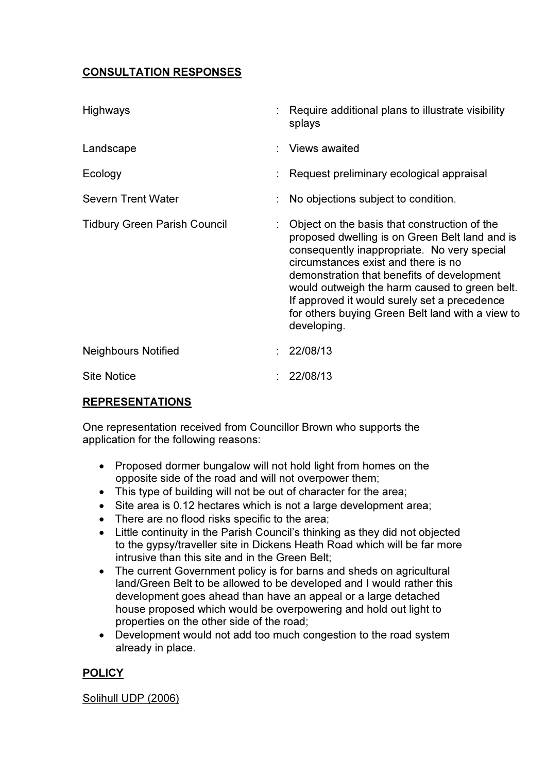# CONSULTATION RESPONSES

| <b>Highways</b>                     | : Require additional plans to illustrate visibility<br>splays                                                                                                                                                                                                                                                                                                                                          |
|-------------------------------------|--------------------------------------------------------------------------------------------------------------------------------------------------------------------------------------------------------------------------------------------------------------------------------------------------------------------------------------------------------------------------------------------------------|
| Landscape                           | : Views awaited                                                                                                                                                                                                                                                                                                                                                                                        |
| Ecology                             | Request preliminary ecological appraisal                                                                                                                                                                                                                                                                                                                                                               |
| <b>Severn Trent Water</b>           | No objections subject to condition.                                                                                                                                                                                                                                                                                                                                                                    |
| <b>Tidbury Green Parish Council</b> | Object on the basis that construction of the<br>proposed dwelling is on Green Belt land and is<br>consequently inappropriate. No very special<br>circumstances exist and there is no<br>demonstration that benefits of development<br>would outweigh the harm caused to green belt.<br>If approved it would surely set a precedence<br>for others buying Green Belt land with a view to<br>developing. |
| <b>Neighbours Notified</b>          | 22/08/13                                                                                                                                                                                                                                                                                                                                                                                               |
| <b>Site Notice</b>                  | 22/08/13                                                                                                                                                                                                                                                                                                                                                                                               |

# REPRESENTATIONS

One representation received from Councillor Brown who supports the application for the following reasons:

- Proposed dormer bungalow will not hold light from homes on the opposite side of the road and will not overpower them;
- This type of building will not be out of character for the area;
- Site area is 0.12 hectares which is not a large development area;
- There are no flood risks specific to the area:
- Little continuity in the Parish Council's thinking as they did not objected to the gypsy/traveller site in Dickens Heath Road which will be far more intrusive than this site and in the Green Belt;
- The current Government policy is for barns and sheds on agricultural land/Green Belt to be allowed to be developed and I would rather this development goes ahead than have an appeal or a large detached house proposed which would be overpowering and hold out light to properties on the other side of the road;
- Development would not add too much congestion to the road system already in place.

# **POLICY**

# Solihull UDP (2006)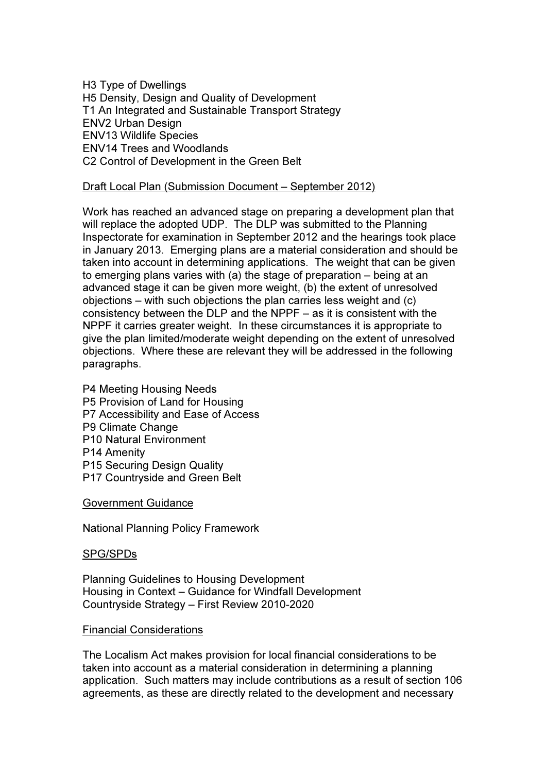H3 Type of Dwellings H5 Density, Design and Quality of Development T1 An Integrated and Sustainable Transport Strategy ENV2 Urban Design ENV13 Wildlife Species ENV14 Trees and Woodlands C2 Control of Development in the Green Belt

# Draft Local Plan (Submission Document – September 2012)

Work has reached an advanced stage on preparing a development plan that will replace the adopted UDP. The DLP was submitted to the Planning Inspectorate for examination in September 2012 and the hearings took place in January 2013. Emerging plans are a material consideration and should be taken into account in determining applications. The weight that can be given to emerging plans varies with (a) the stage of preparation – being at an advanced stage it can be given more weight, (b) the extent of unresolved objections – with such objections the plan carries less weight and (c) consistency between the DLP and the NPPF – as it is consistent with the NPPF it carries greater weight. In these circumstances it is appropriate to give the plan limited/moderate weight depending on the extent of unresolved objections. Where these are relevant they will be addressed in the following paragraphs.

P4 Meeting Housing Needs P5 Provision of Land for Housing P7 Accessibility and Ease of Access P9 Climate Change P10 Natural Environment P14 Amenity P15 Securing Design Quality P17 Countryside and Green Belt

Government Guidance

National Planning Policy Framework

#### SPG/SPDs

Planning Guidelines to Housing Development Housing in Context – Guidance for Windfall Development Countryside Strategy – First Review 2010-2020

#### Financial Considerations

The Localism Act makes provision for local financial considerations to be taken into account as a material consideration in determining a planning application. Such matters may include contributions as a result of section 106 agreements, as these are directly related to the development and necessary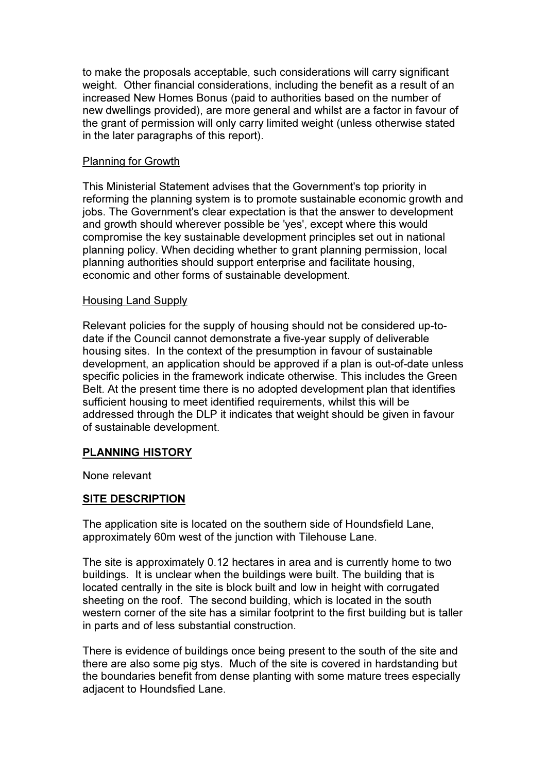to make the proposals acceptable, such considerations will carry significant weight. Other financial considerations, including the benefit as a result of an increased New Homes Bonus (paid to authorities based on the number of new dwellings provided), are more general and whilst are a factor in favour of the grant of permission will only carry limited weight (unless otherwise stated in the later paragraphs of this report).

#### Planning for Growth

This Ministerial Statement advises that the Government's top priority in reforming the planning system is to promote sustainable economic growth and jobs. The Government's clear expectation is that the answer to development and growth should wherever possible be 'yes', except where this would compromise the key sustainable development principles set out in national planning policy. When deciding whether to grant planning permission, local planning authorities should support enterprise and facilitate housing, economic and other forms of sustainable development.

# Housing Land Supply

Relevant policies for the supply of housing should not be considered up-todate if the Council cannot demonstrate a five-year supply of deliverable housing sites. In the context of the presumption in favour of sustainable development, an application should be approved if a plan is out-of-date unless specific policies in the framework indicate otherwise. This includes the Green Belt. At the present time there is no adopted development plan that identifies sufficient housing to meet identified requirements, whilst this will be addressed through the DLP it indicates that weight should be given in favour of sustainable development.

# PLANNING HISTORY

None relevant

# SITE DESCRIPTION

The application site is located on the southern side of Houndsfield Lane, approximately 60m west of the junction with Tilehouse Lane.

The site is approximately 0.12 hectares in area and is currently home to two buildings. It is unclear when the buildings were built. The building that is located centrally in the site is block built and low in height with corrugated sheeting on the roof. The second building, which is located in the south western corner of the site has a similar footprint to the first building but is taller in parts and of less substantial construction.

There is evidence of buildings once being present to the south of the site and there are also some pig stys. Much of the site is covered in hardstanding but the boundaries benefit from dense planting with some mature trees especially adjacent to Houndsfied Lane.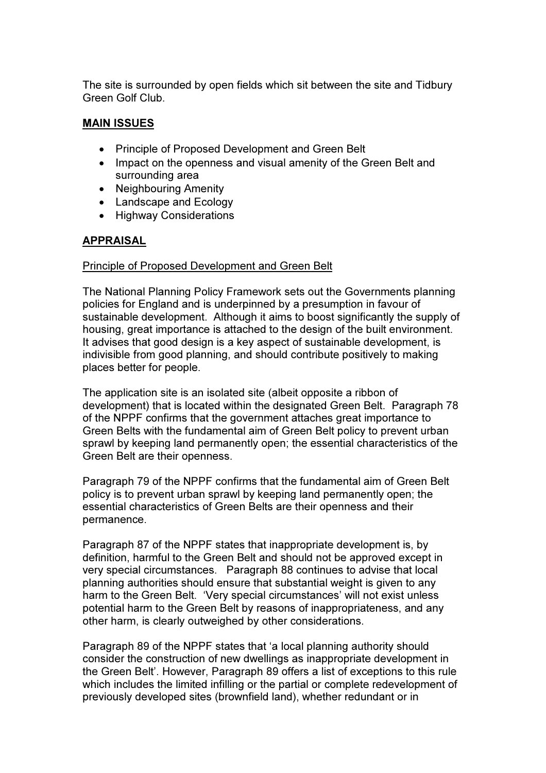The site is surrounded by open fields which sit between the site and Tidbury Green Golf Club.

# MAIN ISSUES

- Principle of Proposed Development and Green Belt
- Impact on the openness and visual amenity of the Green Belt and surrounding area
- Neighbouring Amenity
- Landscape and Ecology
- Highway Considerations

# APPRAISAL

# Principle of Proposed Development and Green Belt

The National Planning Policy Framework sets out the Governments planning policies for England and is underpinned by a presumption in favour of sustainable development. Although it aims to boost significantly the supply of housing, great importance is attached to the design of the built environment. It advises that good design is a key aspect of sustainable development, is indivisible from good planning, and should contribute positively to making places better for people.

The application site is an isolated site (albeit opposite a ribbon of development) that is located within the designated Green Belt. Paragraph 78 of the NPPF confirms that the government attaches great importance to Green Belts with the fundamental aim of Green Belt policy to prevent urban sprawl by keeping land permanently open; the essential characteristics of the Green Belt are their openness.

Paragraph 79 of the NPPF confirms that the fundamental aim of Green Belt policy is to prevent urban sprawl by keeping land permanently open; the essential characteristics of Green Belts are their openness and their permanence.

Paragraph 87 of the NPPF states that inappropriate development is, by definition, harmful to the Green Belt and should not be approved except in very special circumstances. Paragraph 88 continues to advise that local planning authorities should ensure that substantial weight is given to any harm to the Green Belt. 'Very special circumstances' will not exist unless potential harm to the Green Belt by reasons of inappropriateness, and any other harm, is clearly outweighed by other considerations.

Paragraph 89 of the NPPF states that 'a local planning authority should consider the construction of new dwellings as inappropriate development in the Green Belt'. However, Paragraph 89 offers a list of exceptions to this rule which includes the limited infilling or the partial or complete redevelopment of previously developed sites (brownfield land), whether redundant or in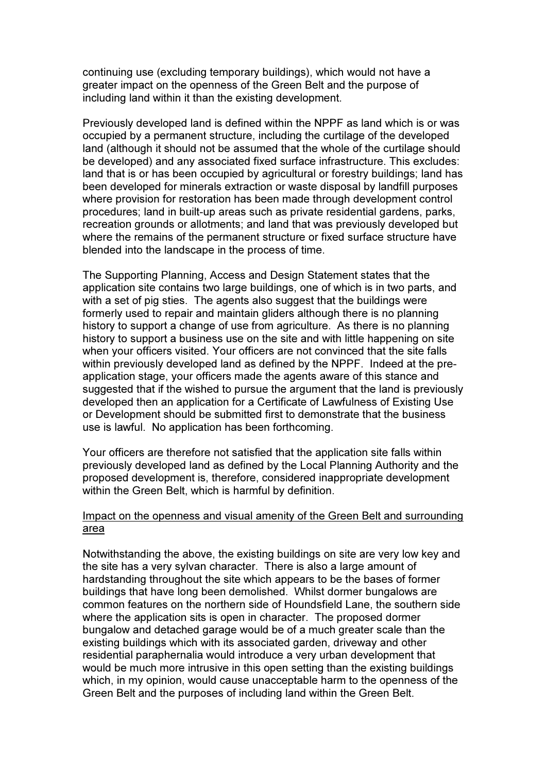continuing use (excluding temporary buildings), which would not have a greater impact on the openness of the Green Belt and the purpose of including land within it than the existing development.

Previously developed land is defined within the NPPF as land which is or was occupied by a permanent structure, including the curtilage of the developed land (although it should not be assumed that the whole of the curtilage should be developed) and any associated fixed surface infrastructure. This excludes: land that is or has been occupied by agricultural or forestry buildings; land has been developed for minerals extraction or waste disposal by landfill purposes where provision for restoration has been made through development control procedures; land in built-up areas such as private residential gardens, parks, recreation grounds or allotments; and land that was previously developed but where the remains of the permanent structure or fixed surface structure have blended into the landscape in the process of time.

The Supporting Planning, Access and Design Statement states that the application site contains two large buildings, one of which is in two parts, and with a set of pig sties. The agents also suggest that the buildings were formerly used to repair and maintain gliders although there is no planning history to support a change of use from agriculture. As there is no planning history to support a business use on the site and with little happening on site when your officers visited. Your officers are not convinced that the site falls within previously developed land as defined by the NPPF. Indeed at the preapplication stage, your officers made the agents aware of this stance and suggested that if the wished to pursue the argument that the land is previously developed then an application for a Certificate of Lawfulness of Existing Use or Development should be submitted first to demonstrate that the business use is lawful. No application has been forthcoming.

Your officers are therefore not satisfied that the application site falls within previously developed land as defined by the Local Planning Authority and the proposed development is, therefore, considered inappropriate development within the Green Belt, which is harmful by definition.

# Impact on the openness and visual amenity of the Green Belt and surrounding area

Notwithstanding the above, the existing buildings on site are very low key and the site has a very sylvan character. There is also a large amount of hardstanding throughout the site which appears to be the bases of former buildings that have long been demolished. Whilst dormer bungalows are common features on the northern side of Houndsfield Lane, the southern side where the application sits is open in character. The proposed dormer bungalow and detached garage would be of a much greater scale than the existing buildings which with its associated garden, driveway and other residential paraphernalia would introduce a very urban development that would be much more intrusive in this open setting than the existing buildings which, in my opinion, would cause unacceptable harm to the openness of the Green Belt and the purposes of including land within the Green Belt.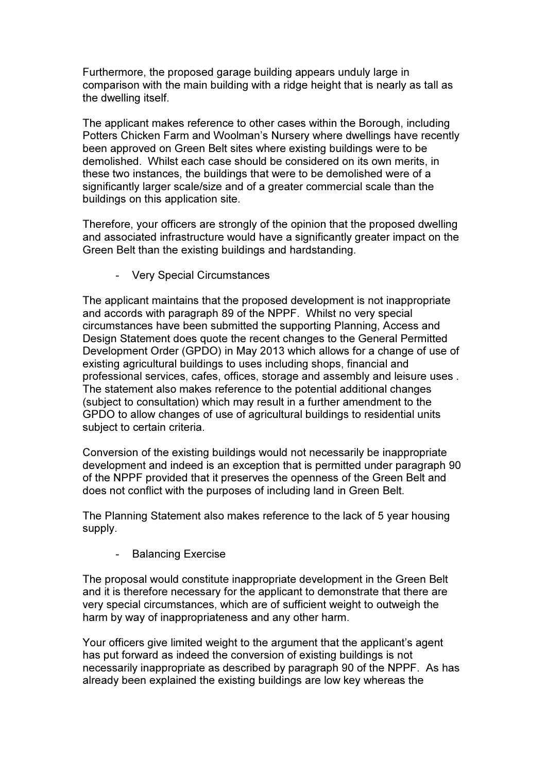Furthermore, the proposed garage building appears unduly large in comparison with the main building with a ridge height that is nearly as tall as the dwelling itself.

The applicant makes reference to other cases within the Borough, including Potters Chicken Farm and Woolman's Nursery where dwellings have recently been approved on Green Belt sites where existing buildings were to be demolished. Whilst each case should be considered on its own merits, in these two instances, the buildings that were to be demolished were of a significantly larger scale/size and of a greater commercial scale than the buildings on this application site.

Therefore, your officers are strongly of the opinion that the proposed dwelling and associated infrastructure would have a significantly greater impact on the Green Belt than the existing buildings and hardstanding.

- Very Special Circumstances

The applicant maintains that the proposed development is not inappropriate and accords with paragraph 89 of the NPPF. Whilst no very special circumstances have been submitted the supporting Planning, Access and Design Statement does quote the recent changes to the General Permitted Development Order (GPDO) in May 2013 which allows for a change of use of existing agricultural buildings to uses including shops, financial and professional services, cafes, offices, storage and assembly and leisure uses . The statement also makes reference to the potential additional changes (subject to consultation) which may result in a further amendment to the GPDO to allow changes of use of agricultural buildings to residential units subject to certain criteria.

Conversion of the existing buildings would not necessarily be inappropriate development and indeed is an exception that is permitted under paragraph 90 of the NPPF provided that it preserves the openness of the Green Belt and does not conflict with the purposes of including land in Green Belt.

The Planning Statement also makes reference to the lack of 5 year housing supply.

**Balancing Exercise** 

The proposal would constitute inappropriate development in the Green Belt and it is therefore necessary for the applicant to demonstrate that there are very special circumstances, which are of sufficient weight to outweigh the harm by way of inappropriateness and any other harm.

Your officers give limited weight to the argument that the applicant's agent has put forward as indeed the conversion of existing buildings is not necessarily inappropriate as described by paragraph 90 of the NPPF. As has already been explained the existing buildings are low key whereas the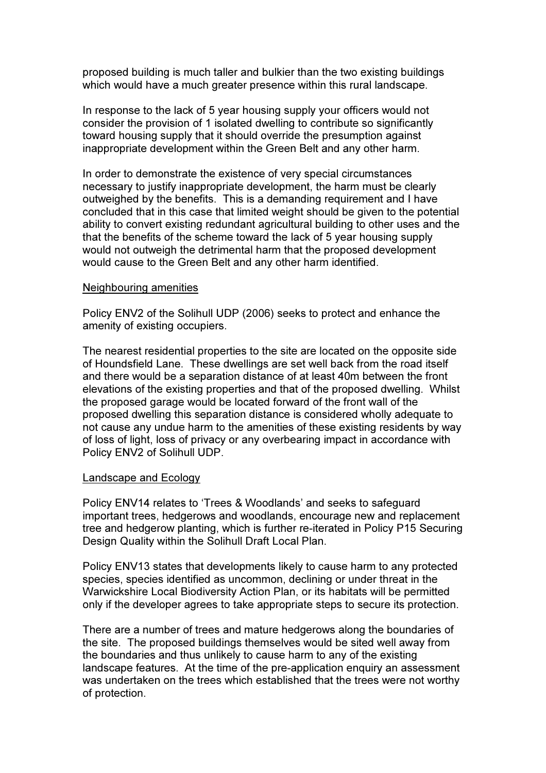proposed building is much taller and bulkier than the two existing buildings which would have a much greater presence within this rural landscape.

In response to the lack of 5 year housing supply your officers would not consider the provision of 1 isolated dwelling to contribute so significantly toward housing supply that it should override the presumption against inappropriate development within the Green Belt and any other harm.

In order to demonstrate the existence of very special circumstances necessary to justify inappropriate development, the harm must be clearly outweighed by the benefits. This is a demanding requirement and I have concluded that in this case that limited weight should be given to the potential ability to convert existing redundant agricultural building to other uses and the that the benefits of the scheme toward the lack of 5 year housing supply would not outweigh the detrimental harm that the proposed development would cause to the Green Belt and any other harm identified.

#### Neighbouring amenities

Policy ENV2 of the Solihull UDP (2006) seeks to protect and enhance the amenity of existing occupiers.

The nearest residential properties to the site are located on the opposite side of Houndsfield Lane. These dwellings are set well back from the road itself and there would be a separation distance of at least 40m between the front elevations of the existing properties and that of the proposed dwelling. Whilst the proposed garage would be located forward of the front wall of the proposed dwelling this separation distance is considered wholly adequate to not cause any undue harm to the amenities of these existing residents by way of loss of light, loss of privacy or any overbearing impact in accordance with Policy ENV2 of Solihull UDP.

#### Landscape and Ecology

Policy ENV14 relates to 'Trees & Woodlands' and seeks to safeguard important trees, hedgerows and woodlands, encourage new and replacement tree and hedgerow planting, which is further re-iterated in Policy P15 Securing Design Quality within the Solihull Draft Local Plan.

Policy ENV13 states that developments likely to cause harm to any protected species, species identified as uncommon, declining or under threat in the Warwickshire Local Biodiversity Action Plan, or its habitats will be permitted only if the developer agrees to take appropriate steps to secure its protection.

There are a number of trees and mature hedgerows along the boundaries of the site. The proposed buildings themselves would be sited well away from the boundaries and thus unlikely to cause harm to any of the existing landscape features. At the time of the pre-application enquiry an assessment was undertaken on the trees which established that the trees were not worthy of protection.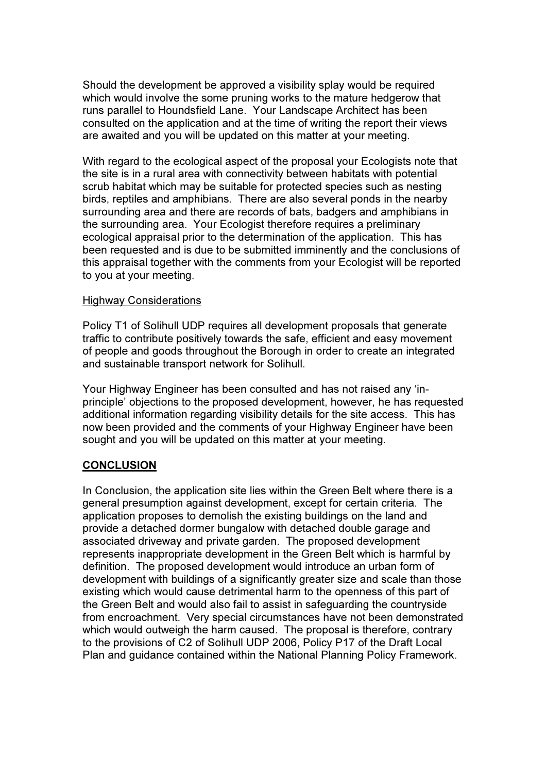Should the development be approved a visibility splay would be required which would involve the some pruning works to the mature hedgerow that runs parallel to Houndsfield Lane. Your Landscape Architect has been consulted on the application and at the time of writing the report their views are awaited and you will be updated on this matter at your meeting.

With regard to the ecological aspect of the proposal your Ecologists note that the site is in a rural area with connectivity between habitats with potential scrub habitat which may be suitable for protected species such as nesting birds, reptiles and amphibians. There are also several ponds in the nearby surrounding area and there are records of bats, badgers and amphibians in the surrounding area. Your Ecologist therefore requires a preliminary ecological appraisal prior to the determination of the application. This has been requested and is due to be submitted imminently and the conclusions of this appraisal together with the comments from your Ecologist will be reported to you at your meeting.

# Highway Considerations

Policy T1 of Solihull UDP requires all development proposals that generate traffic to contribute positively towards the safe, efficient and easy movement of people and goods throughout the Borough in order to create an integrated and sustainable transport network for Solihull.

Your Highway Engineer has been consulted and has not raised any 'inprinciple' objections to the proposed development, however, he has requested additional information regarding visibility details for the site access. This has now been provided and the comments of your Highway Engineer have been sought and you will be updated on this matter at your meeting.

# **CONCLUSION**

In Conclusion, the application site lies within the Green Belt where there is a general presumption against development, except for certain criteria. The application proposes to demolish the existing buildings on the land and provide a detached dormer bungalow with detached double garage and associated driveway and private garden. The proposed development represents inappropriate development in the Green Belt which is harmful by definition. The proposed development would introduce an urban form of development with buildings of a significantly greater size and scale than those existing which would cause detrimental harm to the openness of this part of the Green Belt and would also fail to assist in safeguarding the countryside from encroachment. Very special circumstances have not been demonstrated which would outweigh the harm caused. The proposal is therefore, contrary to the provisions of C2 of Solihull UDP 2006, Policy P17 of the Draft Local Plan and guidance contained within the National Planning Policy Framework.